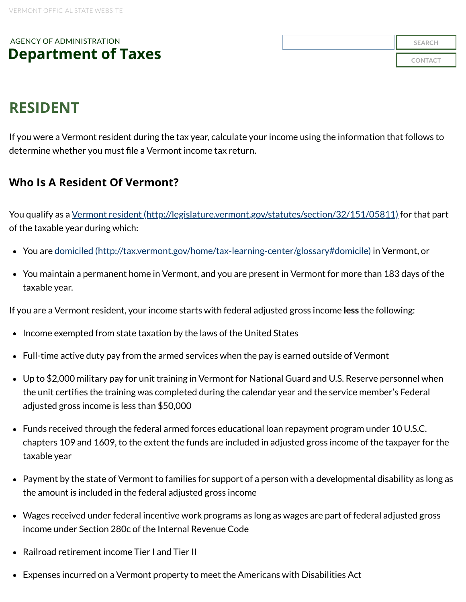## AGENCY OF ADMINISTRATION **[Department](https://tax.vermont.gov/) of Taxes**

| <b>SEARCH</b>  |
|----------------|
| <b>CONTACT</b> |

# **RESIDENT**

If you were a Vermont resident during the tax year, calculate your income using the information that follows to determine whether you must file a Vermont income tax return.

### **Who Is A Resident Of Vermont?**

You qualify as a Vermont resident [\(http://legislature.vermont.gov/statutes/section/32/151/05811\)](http://legislature.vermont.gov/statutes/section/32/151/05811) for that part of the taxable year during which:

- You are domiciled [\(http://tax.vermont.gov/home/tax-learning-center/glossary#domicile\)](http://tax.vermont.gov/home/tax-learning-center/glossary#domicile) in Vermont, or
- You maintain a permanent home in Vermont, and you are present in Vermont for more than 183 days of the taxable year.

If you are a Vermont resident, your income starts with federal adjusted gross income **less** the following:

- Income exempted from state taxation by the laws of the United States
- Full-time active duty pay from the armed services when the pay is earned outside of Vermont
- Up to \$2,000 military pay for unit training in Vermont for National Guard and U.S. Reserve personnel when the unit certifies the training was completed during the calendar year and the service member's Federal adjusted gross income is less than \$50,000
- Funds received through the federal armed forces educational loan repayment program under 10 U.S.C. chapters 109 and 1609, to the extent the funds are included in adjusted gross income of the taxpayer for the taxable year
- Payment by the state of Vermont to families for support of a person with a developmental disability as long as the amount is included in the federal adjusted gross income
- Wages received under federal incentive work programs as long as wages are part of federal adjusted gross income under Section 280c of the Internal Revenue Code
- Railroad retirement income Tier I and Tier II
- Expenses incurred on a Vermont property to meet the Americans with Disabilities Act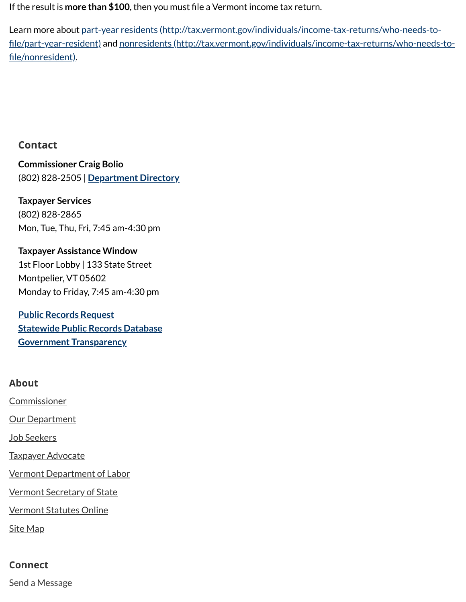If the result is **more than \$100**, then you must file a Vermont income tax return.

Learn more about part-year residents [\(http://tax.vermont.gov/individuals/income-tax-returns/who-needs-to-](http://tax.vermont.gov/individuals/income-tax-returns/who-needs-to-file/part-year-resident) file/part-year-resident) and nonresidents [\(http://tax.vermont.gov/individuals/income-tax-returns/who-needs-to](http://tax.vermont.gov/individuals/income-tax-returns/who-needs-to-file/nonresident) file/nonresident).

#### **Contact**

**Commissioner Craig Bolio** (802) 828-2505 | **[Department](https://tax.vermont.gov/directory) Directory**

**Taxpayer Services** (802) 828-2865 Mon, Tue, Thu, Fri, 7:45 am-4:30 pm

**Taxpayer Assistance Window** 1st Floor Lobby | 133 State Street Montpelier, VT 05602 Monday to Friday, 7:45 am-4:30 pm

**Public Records [Request](https://tax.vermont.gov/public-records-request) [Statewide](http://aoa.vermont.gov/statewide-public-record-requests) Public Records Database Government [Transparency](https://tax.vermont.gov/government-transparency)**

#### **About**

[Commissioner](https://tax.vermont.gov/commissioner) **Our [Department](https://tax.vermont.gov/department)** [Job Seekers](https://tax.vermont.gov/careers)

Taxpayer [Advocate](https://tax.vermont.gov/help-and-resources/taxpayer-advocate)

Vermont [Department](https://labor.vermont.gov/) of Labor

Vermont [Secretary](https://www.sec.state.vt.us/) of State

[Vermont](https://legislature.vermont.gov/statutes/) Statutes Online

Site [Map](http://tax.vermont.gov/sitemap)

#### **Connect**

Send a [Message](https://tax.vermont.gov/contact)